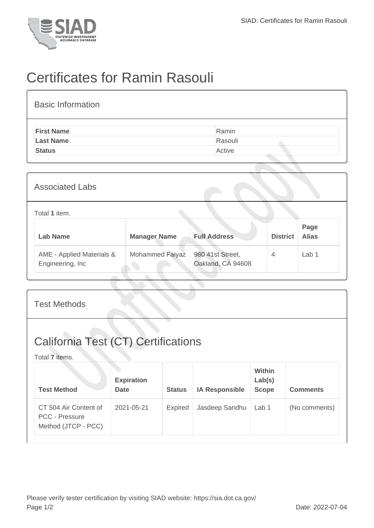

## Certificates for Ramin Rasouli

| <b>Basic Information</b> |         |
|--------------------------|---------|
| <b>First Name</b>        | Ramin   |
| <b>Last Name</b>         | Rasouli |
| <b>Status</b>            | Active  |
|                          |         |

| <b>Associated Labs</b>                         |                     |                                       |                 |                      |
|------------------------------------------------|---------------------|---------------------------------------|-----------------|----------------------|
| Total 1 item.                                  |                     |                                       |                 |                      |
| <b>Lab Name</b>                                | <b>Manager Name</b> | <b>Full Address</b>                   | <b>District</b> | Page<br><b>Alias</b> |
| AME - Applied Materials &<br>Engineering, Inc. | Mohammed Faiyaz     | 980 41st Street,<br>Oakland, CA 94608 | $\overline{4}$  | Lab <sub>1</sub>     |

| <b>Test Methods</b>                                                   |                                  |               |                       |                                  |                 |
|-----------------------------------------------------------------------|----------------------------------|---------------|-----------------------|----------------------------------|-----------------|
| <b>California Test (CT) Certifications</b><br>Total 7 items.          |                                  |               |                       |                                  |                 |
| <b>Test Method</b>                                                    | <b>Expiration</b><br><b>Date</b> | <b>Status</b> | <b>IA Responsible</b> | Within<br>Lab(s)<br><b>Scope</b> | <b>Comments</b> |
| CT 504 Air Content of<br><b>PCC - Pressure</b><br>Method (JTCP - PCC) | 2021-05-21                       | Expired       | Jasdeep Sandhu        | Lab 1                            | (No comments)   |